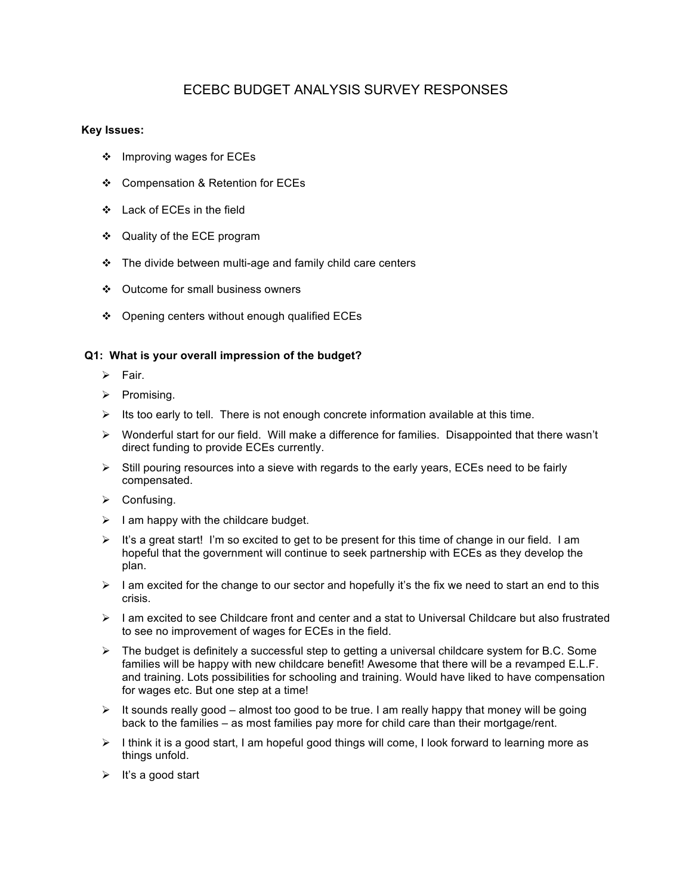# ECEBC BUDGET ANALYSIS SURVEY RESPONSES

# **Key Issues:**

- ❖ Improving wages for ECEs
- ❖ Compensation & Retention for ECEs
- ❖ Lack of ECEs in the field
- ❖ Quality of the ECE program
- $\cdot \cdot$  The divide between multi-age and family child care centers
- ❖ Outcome for small business owners
- ❖ Opening centers without enough qualified ECEs

# **Q1: What is your overall impression of the budget?**

- $\triangleright$  Fair.
- $\triangleright$  Promising.
- $\triangleright$  Its too early to tell. There is not enough concrete information available at this time.
- > Wonderful start for our field. Will make a difference for families. Disappointed that there wasn't direct funding to provide ECEs currently.
- $\triangleright$  Still pouring resources into a sieve with regards to the early years, ECEs need to be fairly compensated.
- $\triangleright$  Confusing.
- $\triangleright$  I am happy with the childcare budget.
- $\triangleright$  It's a great start! I'm so excited to get to be present for this time of change in our field. I am hopeful that the government will continue to seek partnership with ECEs as they develop the plan.
- $\geq$  I am excited for the change to our sector and hopefully it's the fix we need to start an end to this crisis.
- $\triangleright$  I am excited to see Childcare front and center and a stat to Universal Childcare but also frustrated to see no improvement of wages for ECEs in the field.
- $\triangleright$  The budget is definitely a successful step to getting a universal childcare system for B.C. Some families will be happy with new childcare benefit! Awesome that there will be a revamped E.L.F. and training. Lots possibilities for schooling and training. Would have liked to have compensation for wages etc. But one step at a time!
- $\triangleright$  It sounds really good almost too good to be true. I am really happy that money will be going back to the families – as most families pay more for child care than their mortgage/rent.
- $\triangleright$  I think it is a good start, I am hopeful good things will come, I look forward to learning more as things unfold.
- $\triangleright$  It's a good start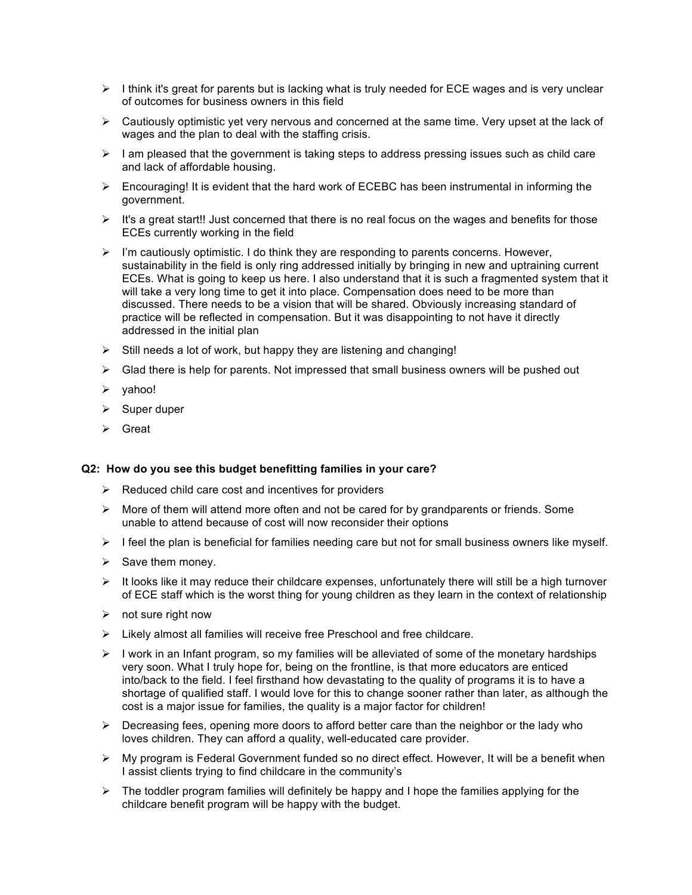- $\triangleright$  I think it's great for parents but is lacking what is truly needed for ECE wages and is very unclear of outcomes for business owners in this field
- $\triangleright$  Cautiously optimistic yet very nervous and concerned at the same time. Very upset at the lack of wages and the plan to deal with the staffing crisis.
- $\triangleright$  I am pleased that the government is taking steps to address pressing issues such as child care and lack of affordable housing.
- $\triangleright$  Encouraging! It is evident that the hard work of ECEBC has been instrumental in informing the government.
- $\triangleright$  It's a great start!! Just concerned that there is no real focus on the wages and benefits for those ECEs currently working in the field
- $\triangleright$  I'm cautiously optimistic. I do think they are responding to parents concerns. However, sustainability in the field is only ring addressed initially by bringing in new and uptraining current ECEs. What is going to keep us here. I also understand that it is such a fragmented system that it will take a very long time to get it into place. Compensation does need to be more than discussed. There needs to be a vision that will be shared. Obviously increasing standard of practice will be reflected in compensation. But it was disappointing to not have it directly addressed in the initial plan
- $\triangleright$  Still needs a lot of work, but happy they are listening and changing!
- $\triangleright$  Glad there is help for parents. Not impressed that small business owners will be pushed out
- $\triangleright$  vahoo!
- $\triangleright$  Super duper
- $\triangleright$  Great

#### **Q2: How do you see this budget benefitting families in your care?**

- $\triangleright$  Reduced child care cost and incentives for providers
- $\triangleright$  More of them will attend more often and not be cared for by grandparents or friends. Some unable to attend because of cost will now reconsider their options
- $\triangleright$  I feel the plan is beneficial for families needing care but not for small business owners like myself.
- $\triangleright$  Save them money.
- $\triangleright$  It looks like it may reduce their childcare expenses, unfortunately there will still be a high turnover of ECE staff which is the worst thing for young children as they learn in the context of relationship
- $\triangleright$  not sure right now
- $\triangleright$  Likely almost all families will receive free Preschool and free childcare.
- $\triangleright$  I work in an Infant program, so my families will be alleviated of some of the monetary hardships very soon. What I truly hope for, being on the frontline, is that more educators are enticed into/back to the field. I feel firsthand how devastating to the quality of programs it is to have a shortage of qualified staff. I would love for this to change sooner rather than later, as although the cost is a major issue for families, the quality is a major factor for children!
- $\triangleright$  Decreasing fees, opening more doors to afford better care than the neighbor or the lady who loves children. They can afford a quality, well-educated care provider.
- $\triangleright$  My program is Federal Government funded so no direct effect. However, It will be a benefit when I assist clients trying to find childcare in the community's
- $\triangleright$  The toddler program families will definitely be happy and I hope the families applying for the childcare benefit program will be happy with the budget.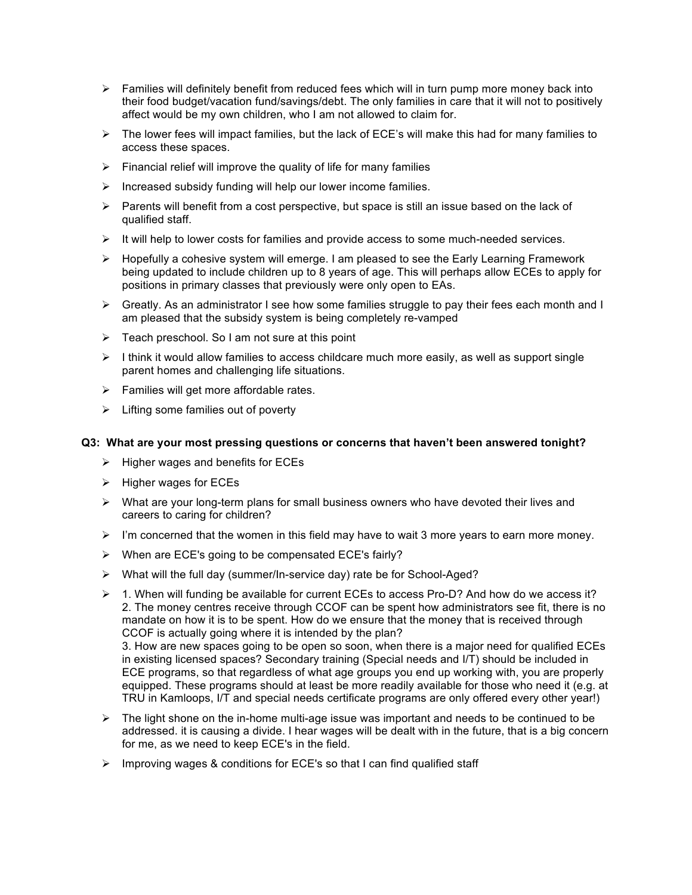- $\triangleright$  Families will definitely benefit from reduced fees which will in turn pump more money back into their food budget/vacation fund/savings/debt. The only families in care that it will not to positively affect would be my own children, who I am not allowed to claim for.
- $\triangleright$  The lower fees will impact families, but the lack of ECE's will make this had for many families to access these spaces.
- $\triangleright$  Financial relief will improve the quality of life for many families
- $\triangleright$  Increased subsidy funding will help our lower income families.
- $\triangleright$  Parents will benefit from a cost perspective, but space is still an issue based on the lack of qualified staff.
- $\triangleright$  It will help to lower costs for families and provide access to some much-needed services.
- $\triangleright$  Hopefully a cohesive system will emerge. I am pleased to see the Early Learning Framework being updated to include children up to 8 years of age. This will perhaps allow ECEs to apply for positions in primary classes that previously were only open to EAs.
- $\triangleright$  Greatly. As an administrator I see how some families struggle to pay their fees each month and I am pleased that the subsidy system is being completely re-vamped
- $\triangleright$  Teach preschool. So I am not sure at this point
- $\triangleright$  I think it would allow families to access childcare much more easily, as well as support single parent homes and challenging life situations.
- $\triangleright$  Families will get more affordable rates.
- $\triangleright$  Lifting some families out of poverty

# **Q3: What are your most pressing questions or concerns that haven't been answered tonight?**

- $\triangleright$  Higher wages and benefits for ECEs
- $\triangleright$  Higher wages for ECEs
- $\triangleright$  What are your long-term plans for small business owners who have devoted their lives and careers to caring for children?
- $\triangleright$  I'm concerned that the women in this field may have to wait 3 more years to earn more money.
- $\triangleright$  When are ECE's going to be compensated ECE's fairly?
- $\triangleright$  What will the full day (summer/In-service day) rate be for School-Aged?
- $\triangleright$  1. When will funding be available for current ECEs to access Pro-D? And how do we access it? 2. The money centres receive through CCOF can be spent how administrators see fit, there is no mandate on how it is to be spent. How do we ensure that the money that is received through CCOF is actually going where it is intended by the plan? 3. How are new spaces going to be open so soon, when there is a major need for qualified ECEs in existing licensed spaces? Secondary training (Special needs and I/T) should be included in ECE programs, so that regardless of what age groups you end up working with, you are properly equipped. These programs should at least be more readily available for those who need it (e.g. at
- $\triangleright$  The light shone on the in-home multi-age issue was important and needs to be continued to be addressed. it is causing a divide. I hear wages will be dealt with in the future, that is a big concern for me, as we need to keep ECE's in the field.

TRU in Kamloops, I/T and special needs certificate programs are only offered every other year!)

 $\triangleright$  Improving wages & conditions for ECE's so that I can find qualified staff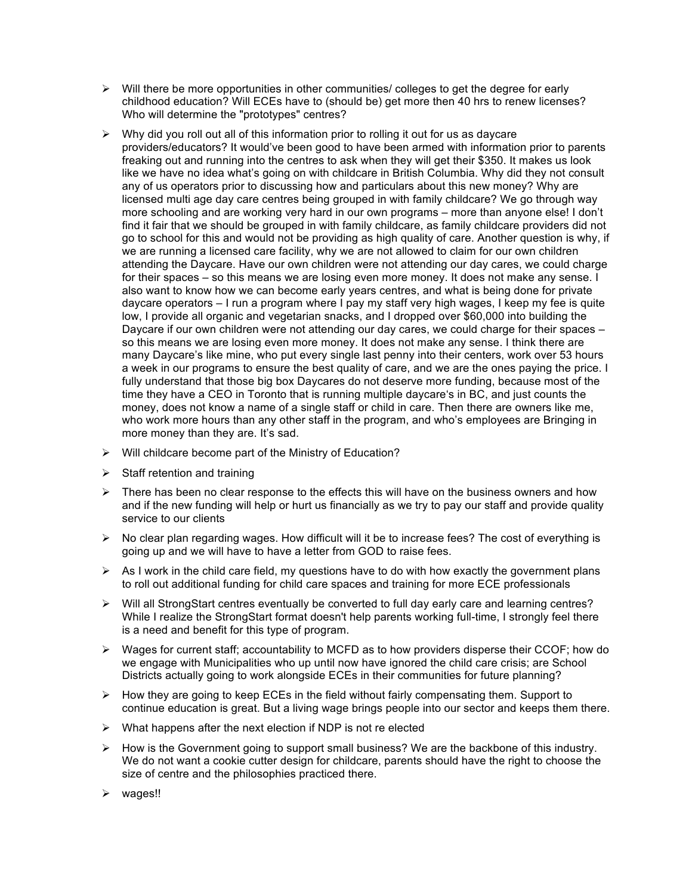- $\triangleright$  Will there be more opportunities in other communities/ colleges to get the degree for early childhood education? Will ECEs have to (should be) get more then 40 hrs to renew licenses? Who will determine the "prototypes" centres?
- $\triangleright$  Why did you roll out all of this information prior to rolling it out for us as daycare providers/educators? It would've been good to have been armed with information prior to parents freaking out and running into the centres to ask when they will get their \$350. It makes us look like we have no idea what's going on with childcare in British Columbia. Why did they not consult any of us operators prior to discussing how and particulars about this new money? Why are licensed multi age day care centres being grouped in with family childcare? We go through way more schooling and are working very hard in our own programs – more than anyone else! I don't find it fair that we should be grouped in with family childcare, as family childcare providers did not go to school for this and would not be providing as high quality of care. Another question is why, if we are running a licensed care facility, why we are not allowed to claim for our own children attending the Daycare. Have our own children were not attending our day cares, we could charge for their spaces – so this means we are losing even more money. It does not make any sense. I also want to know how we can become early years centres, and what is being done for private daycare operators – I run a program where I pay my staff very high wages, I keep my fee is quite low, I provide all organic and vegetarian snacks, and I dropped over \$60,000 into building the Daycare if our own children were not attending our day cares, we could charge for their spaces so this means we are losing even more money. It does not make any sense. I think there are many Daycare's like mine, who put every single last penny into their centers, work over 53 hours a week in our programs to ensure the best quality of care, and we are the ones paying the price. I fully understand that those big box Daycares do not deserve more funding, because most of the time they have a CEO in Toronto that is running multiple daycare's in BC, and just counts the money, does not know a name of a single staff or child in care. Then there are owners like me, who work more hours than any other staff in the program, and who's employees are Bringing in more money than they are. It's sad.
- $\triangleright$  Will childcare become part of the Ministry of Education?
- $\triangleright$  Staff retention and training
- $\triangleright$  There has been no clear response to the effects this will have on the business owners and how and if the new funding will help or hurt us financially as we try to pay our staff and provide quality service to our clients
- $\triangleright$  No clear plan regarding wages. How difficult will it be to increase fees? The cost of everything is going up and we will have to have a letter from GOD to raise fees.
- $\triangleright$  As I work in the child care field, my questions have to do with how exactly the government plans to roll out additional funding for child care spaces and training for more ECE professionals
- $\triangleright$  Will all StrongStart centres eventually be converted to full day early care and learning centres? While I realize the StrongStart format doesn't help parents working full-time, I strongly feel there is a need and benefit for this type of program.
- $\triangleright$  Wages for current staff; accountability to MCFD as to how providers disperse their CCOF; how do we engage with Municipalities who up until now have ignored the child care crisis; are School Districts actually going to work alongside ECEs in their communities for future planning?
- $\triangleright$  How they are going to keep ECEs in the field without fairly compensating them. Support to continue education is great. But a living wage brings people into our sector and keeps them there.
- $\triangleright$  What happens after the next election if NDP is not re elected
- $\triangleright$  How is the Government going to support small business? We are the backbone of this industry. We do not want a cookie cutter design for childcare, parents should have the right to choose the size of centre and the philosophies practiced there.
- $\triangleright$  wages!!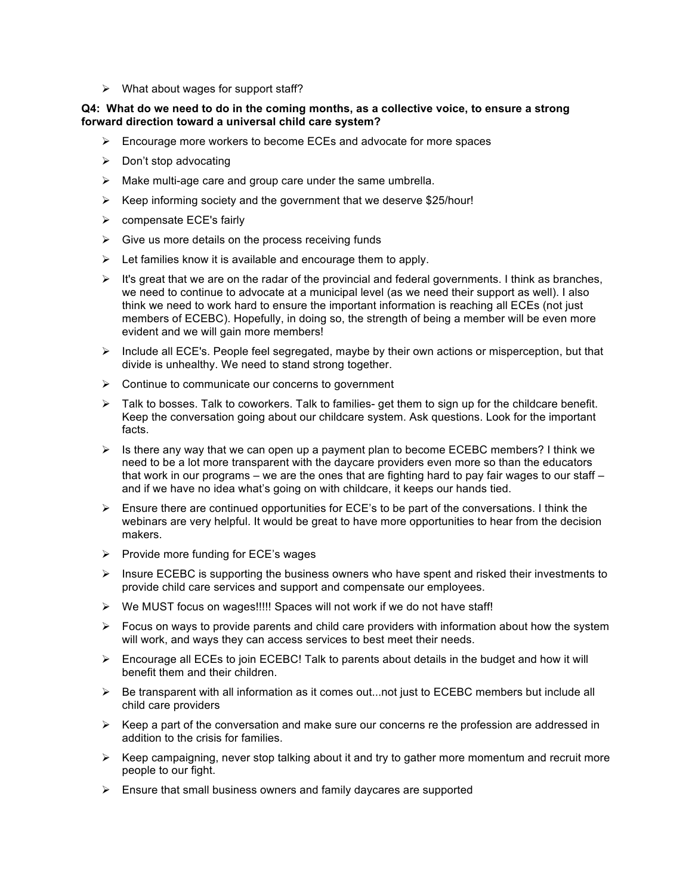$\triangleright$  What about wages for support staff?

# **Q4: What do we need to do in the coming months, as a collective voice, to ensure a strong forward direction toward a universal child care system?**

- $\triangleright$  Encourage more workers to become ECEs and advocate for more spaces
- $\triangleright$  Don't stop advocating
- $\triangleright$  Make multi-age care and group care under the same umbrella.
- $\triangleright$  Keep informing society and the government that we deserve \$25/hour!
- $\triangleright$  compensate ECE's fairly
- $\triangleright$  Give us more details on the process receiving funds
- $\triangleright$  Let families know it is available and encourage them to apply.
- $\triangleright$  It's great that we are on the radar of the provincial and federal governments. I think as branches, we need to continue to advocate at a municipal level (as we need their support as well). I also think we need to work hard to ensure the important information is reaching all ECEs (not just members of ECEBC). Hopefully, in doing so, the strength of being a member will be even more evident and we will gain more members!
- $\triangleright$  Include all ECE's. People feel segregated, maybe by their own actions or misperception, but that divide is unhealthy. We need to stand strong together.
- $\triangleright$  Continue to communicate our concerns to government
- > Talk to bosses. Talk to coworkers. Talk to families- get them to sign up for the childcare benefit. Keep the conversation going about our childcare system. Ask questions. Look for the important facts.
- $\triangleright$  Is there any way that we can open up a payment plan to become ECEBC members? I think we need to be a lot more transparent with the daycare providers even more so than the educators that work in our programs – we are the ones that are fighting hard to pay fair wages to our staff – and if we have no idea what's going on with childcare, it keeps our hands tied.
- $\triangleright$  Ensure there are continued opportunities for ECE's to be part of the conversations. I think the webinars are very helpful. It would be great to have more opportunities to hear from the decision makers.
- $\triangleright$  Provide more funding for ECE's wages
- $\triangleright$  Insure ECEBC is supporting the business owners who have spent and risked their investments to provide child care services and support and compensate our employees.
- > We MUST focus on wages!!!!! Spaces will not work if we do not have staff!
- $\triangleright$  Focus on ways to provide parents and child care providers with information about how the system will work, and ways they can access services to best meet their needs.
- $\triangleright$  Encourage all ECEs to join ECEBC! Talk to parents about details in the budget and how it will benefit them and their children.
- $\triangleright$  Be transparent with all information as it comes out...not just to ECEBC members but include all child care providers
- $\triangleright$  Keep a part of the conversation and make sure our concerns re the profession are addressed in addition to the crisis for families.
- $\triangleright$  Keep campaigning, never stop talking about it and try to gather more momentum and recruit more people to our fight.
- $\triangleright$  Ensure that small business owners and family daycares are supported